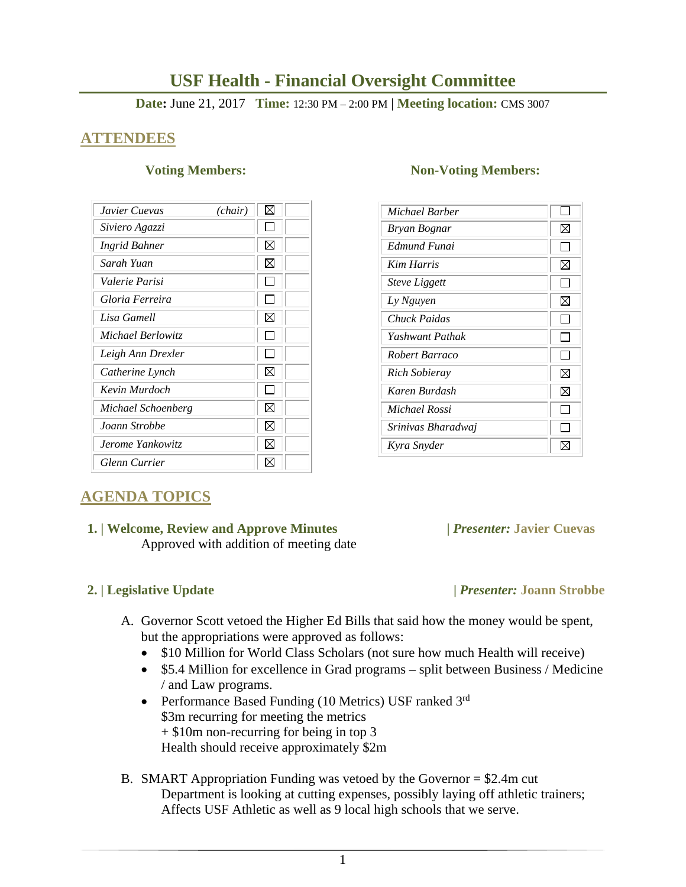# **USF Health - Financial Oversight Committee**

**Date:** June 21, 2017 **Time:** 12:30 PM – 2:00 PM | **Meeting location:** CMS 3007

## **ATTENDEES**

| Javier Cuevas<br>(chair) | ⊠           |
|--------------------------|-------------|
| Siviero Agazzi           |             |
| <b>Ingrid Bahner</b>     | $\boxtimes$ |
| Sarah Yuan               | X           |
| Valerie Parisi           |             |
| Gloria Ferreira          |             |
| Lisa Gamell              | ⋈           |
| Michael Berlowitz        |             |
| Leigh Ann Drexler        |             |
| Catherine Lynch          | ⊠           |
| Kevin Murdoch            |             |
| Michael Schoenberg       | ⊠           |
| Joann Strobbe            | ⊠           |
| Jerome Yankowitz         | ⋈           |
| <b>Glenn Currier</b>     | IX          |

### **Voting Members:** Non-Voting Members:

| Michael Barber       |     |
|----------------------|-----|
| Bryan Bognar         | ⊠   |
| Edmund Funai         |     |
| <b>Kim Harris</b>    | ⊠   |
| <b>Steve Liggett</b> | l I |
| Ly Nguyen            | ⊠   |
| Chuck Paidas         |     |
| Yashwant Pathak      |     |
| Robert Barraco       |     |
| Rich Sobieray        | ⊠   |
| Karen Burdash        | ⊠   |
| Michael Rossi        |     |
| Srinivas Bharadwaj   |     |
| Kyra Snyder          |     |

# **AGENDA TOPICS**

### **1. | Welcome, Review and Approve Minutes****|** *Presenter:* **Javier Cuevas**  Approved with addition of meeting date

## A. Governor Scott vetoed the Higher Ed Bills that said how the money would be spent, but the appropriations were approved as follows:

- \$10 Million for World Class Scholars (not sure how much Health will receive)
- \$5.4 Million for excellence in Grad programs split between Business / Medicine / and Law programs.
- Performance Based Funding (10 Metrics) USF ranked  $3<sup>rd</sup>$ \$3m recurring for meeting the metrics + \$10m non-recurring for being in top 3 Health should receive approximately \$2m
- B. SMART Appropriation Funding was vetoed by the Governor = \$2.4m cut Department is looking at cutting expenses, possibly laying off athletic trainers; Affects USF Athletic as well as 9 local high schools that we serve.

### **2. | Legislative Update |** *Presenter:* **Joann Strobbe**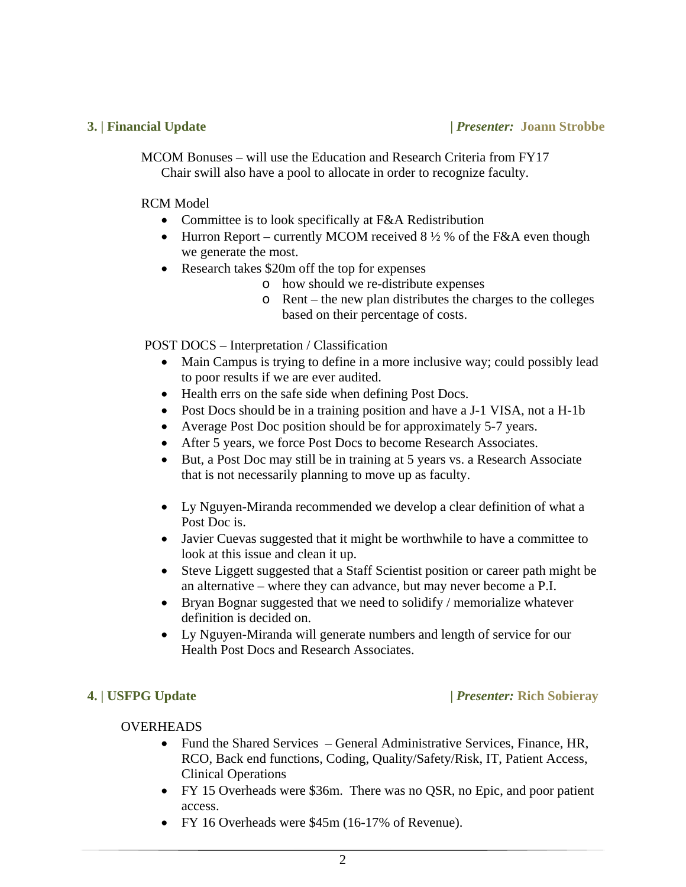MCOM Bonuses – will use the Education and Research Criteria from FY17 Chair swill also have a pool to allocate in order to recognize faculty.

### RCM Model

- Committee is to look specifically at F&A Redistribution
- Hurron Report currently MCOM received  $8\frac{1}{2}$  % of the F&A even though we generate the most.
- Research takes \$20m off the top for expenses
	- o how should we re-distribute expenses
	- o Rent the new plan distributes the charges to the colleges based on their percentage of costs.

## POST DOCS – Interpretation / Classification

- Main Campus is trying to define in a more inclusive way; could possibly lead to poor results if we are ever audited.
- Health errs on the safe side when defining Post Docs.
- Post Docs should be in a training position and have a J-1 VISA, not a H-1b
- Average Post Doc position should be for approximately 5-7 years.
- After 5 years, we force Post Docs to become Research Associates.
- But, a Post Doc may still be in training at 5 years vs. a Research Associate that is not necessarily planning to move up as faculty.
- Ly Nguyen-Miranda recommended we develop a clear definition of what a Post Doc is.
- Javier Cuevas suggested that it might be worthwhile to have a committee to look at this issue and clean it up.
- Steve Liggett suggested that a Staff Scientist position or career path might be an alternative – where they can advance, but may never become a P.I.
- Bryan Bognar suggested that we need to solidify / memorialize whatever definition is decided on.
- Ly Nguyen-Miranda will generate numbers and length of service for our Health Post Docs and Research Associates.

## **4. | USFPG Update |** *Presenter:* **Rich Sobieray**

## **OVERHEADS**

- Fund the Shared Services General Administrative Services, Finance, HR, RCO, Back end functions, Coding, Quality/Safety/Risk, IT, Patient Access, Clinical Operations
- FY 15 Overheads were \$36m. There was no QSR, no Epic, and poor patient access.
- FY 16 Overheads were \$45m (16-17% of Revenue).